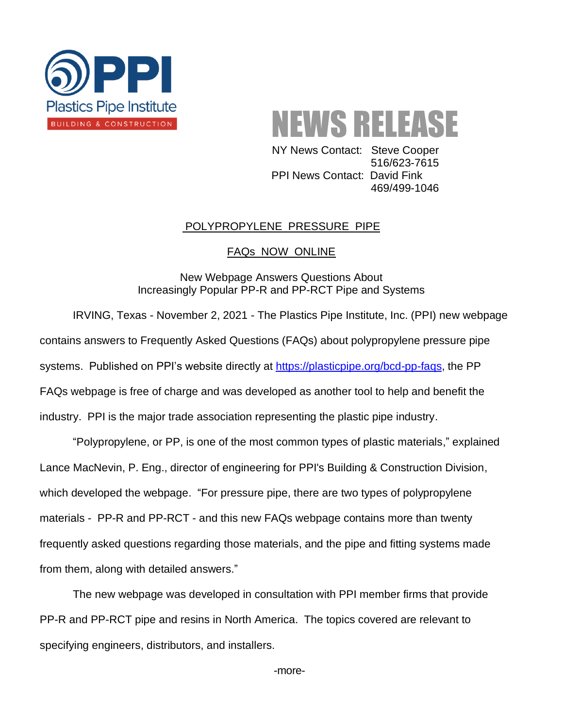

NEWS RELEASE

 NY News Contact: Steve Cooper 516/623-7615 PPI News Contact: David Fink 469/499-1046

## POLYPROPYLENE PRESSURE PIPE

## FAQs NOW ONLINE

New Webpage Answers Questions About Increasingly Popular PP-R and PP-RCT Pipe and Systems

IRVING, Texas - November 2, 2021 - The Plastics Pipe Institute, Inc. (PPI) new webpage contains answers to Frequently Asked Questions (FAQs) about polypropylene pressure pipe systems. Published on PPI's website directly at [https://plasticpipe.org/bcd-pp-faqs,](about:blank) the PP FAQs webpage is free of charge and was developed as another tool to help and benefit the industry. PPI is the major trade association representing the plastic pipe industry.

"Polypropylene, or PP, is one of the most common types of plastic materials," explained Lance MacNevin, P. Eng., director of engineering for PPI's Building & Construction Division, which developed the webpage. "For pressure pipe, there are two types of polypropylene materials - PP-R and PP-RCT - and this new FAQs webpage contains more than twenty frequently asked questions regarding those materials, and the pipe and fitting systems made from them, along with detailed answers."

The new webpage was developed in consultation with PPI member firms that provide PP-R and PP-RCT pipe and resins in North America. The topics covered are relevant to specifying engineers, distributors, and installers.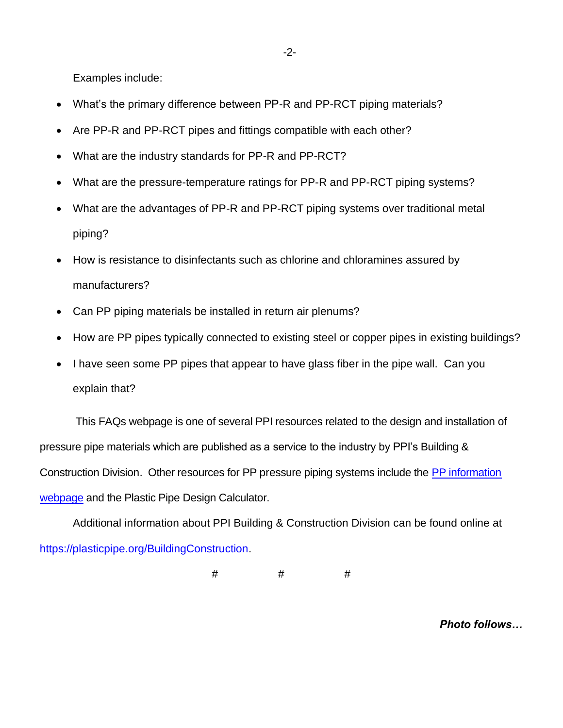Examples include:

- What's the primary difference between PP-R and PP-RCT piping materials?
- Are PP-R and PP-RCT pipes and fittings compatible with each other?
- What are the industry standards for PP-R and PP-RCT?
- What are the pressure-temperature ratings for PP-R and PP-RCT piping systems?
- What are the advantages of PP-R and PP-RCT piping systems over traditional metal piping?
- How is resistance to disinfectants such as chlorine and chloramines assured by manufacturers?
- Can PP piping materials be installed in return air plenums?
- How are PP pipes typically connected to existing steel or copper pipes in existing buildings?
- I have seen some PP pipes that appear to have glass fiber in the pipe wall. Can you explain that?

This FAQs webpage is one of several PPI resources related to the design and installation of pressure pipe materials which are published as a service to the industry by PPI's Building & Construction Division. Other resources for PP pressure piping systems include the PP information [webpage](about:blank) and the Plastic Pipe Design Calculator.

Additional information about PPI Building & Construction Division can be found online at [https://plasticpipe.org/BuildingConstruction.](about:blank)

# # #

*Photo follows…*